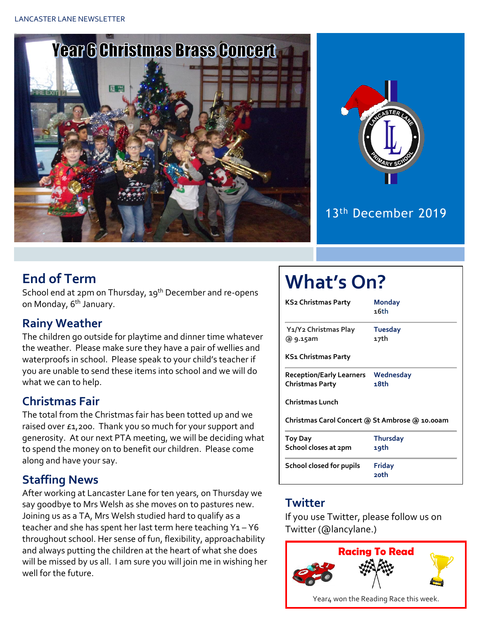



# 13th December 2019

# **End of Term**

School end at 2pm on Thursday, 19<sup>th</sup> December and re-opens on Monday, 6<sup>th</sup> January.

#### **Rainy Weather**

The children go outside for playtime and dinner time whatever the weather. Please make sure they have a pair of wellies and waterproofs in school. Please speak to your child's teacher if you are unable to send these items into school and we will do what we can to help.

#### **Christmas Fair**

The total from the Christmas fair has been totted up and we raised over £1,200. Thank you so much for your support and generosity. At our next PTA meeting, we will be deciding what to spend the money on to benefit our children. Please come along and have your say.

# **Staffing News**

After working at Lancaster Lane for ten years, on Thursday we say goodbye to Mrs Welsh as she moves on to pastures new. Joining us as a TA, Mrs Welsh studied hard to qualify as a teacher and she has spent her last term here teaching  $Y_1 - Y_6$ throughout school. Her sense of fun, flexibility, approachability and always putting the children at the heart of what she does will be missed by us all. I am sure you will join me in wishing her well for the future.

# **What's On?**

| KS2 Christmas Party                                       | <b>Monday</b><br>16th   |  |  |  |  |  |  |
|-----------------------------------------------------------|-------------------------|--|--|--|--|--|--|
| Y1/Y2 Christmas Play<br>@ 9.15am                          | <b>Tuesday</b><br>17th  |  |  |  |  |  |  |
| KS1 Christmas Party                                       |                         |  |  |  |  |  |  |
| <b>Reception/Early Learners</b><br><b>Christmas Party</b> | Wednesday<br>18th       |  |  |  |  |  |  |
| <b>Christmas Lunch</b>                                    |                         |  |  |  |  |  |  |
| Christmas Carol Concert @ St Ambrose @ 10.00am            |                         |  |  |  |  |  |  |
| <b>Toy Day</b><br>School closes at 2pm                    | <b>Thursday</b><br>19th |  |  |  |  |  |  |
| School closed for pupils                                  | <b>Friday</b><br>20th   |  |  |  |  |  |  |

#### **Twitter**

If you use Twitter, please follow us on Twitter (@lancylane.)

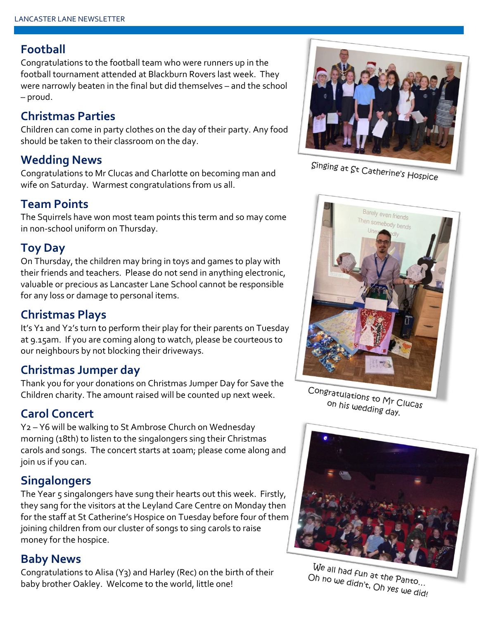#### **Football**

Congratulations to the football team who were runners up in the football tournament attended at Blackburn Rovers last week. They were narrowly beaten in the final but did themselves – and the school – proud.

#### **Christmas Parties**

Children can come in party clothes on the day of their party. Any food should be taken to their classroom on the day.

#### **Wedding News**

Congratulations to Mr Clucas and Charlotte on becoming man and wife on Saturday. Warmest congratulations from us all.

#### **Team Points**

The Squirrels have won most team points this term and so may come in non-school uniform on Thursday.

## **Toy Day**

On Thursday, the children may bring in toys and games to play with their friends and teachers. Please do not send in anything electronic, valuable or precious as Lancaster Lane School cannot be responsible for any loss or damage to personal items.

# **Christmas Plays**

It's Y1 and Y2's turn to perform their play for their parents on Tuesday at 9.15am. If you are coming along to watch, please be courteous to our neighbours by not blocking their driveways.

#### **Christmas Jumper day**

Thank you for your donations on Christmas Jumper Day for Save the Children charity. The amount raised will be counted up next week.

## **Carol Concert**

Y2 – Y6 will be walking to St Ambrose Church on Wednesday morning (18th) to listen to the singalongers sing their Christmas carols and songs. The concert starts at 10am; please come along and join us if you can.

## **Singalongers**

The Year 5 singalongers have sung their hearts out this week. Firstly, they sang for the visitors at the Leyland Care Centre on Monday then for the staff at St Catherine's Hospice on Tuesday before four of them joining children from our cluster of songs to sing carols to raise money for the hospice.

#### **Baby News**

Congratulations to Alisa (Y3) and Harley (Rec) on the birth of their baby brother Oakley. Welcome to the world, little one!



Singing at St Catherine's Hospice



Congratulations to Mr Clucas on his wedding day.



We all had fun at the Panto...<br>Oh no we didn't, Oh you ... Oh no we didn't, Oh yes we did!<br>Oh no we didn't, Oh yes we did!